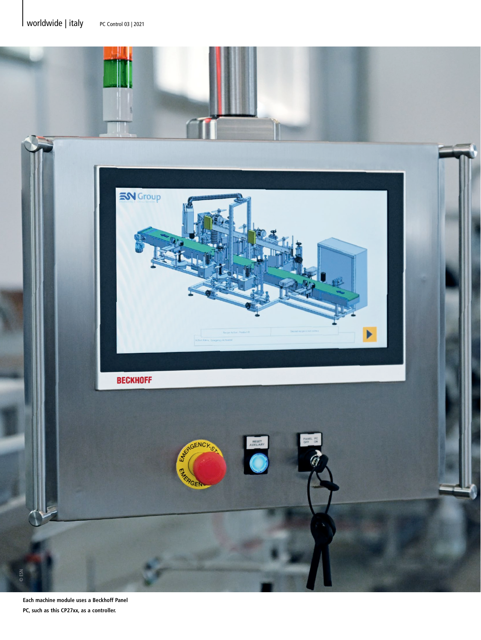

**Each machine module uses a Beckhoff Panel PC, such as this CP27xx, as a controller.**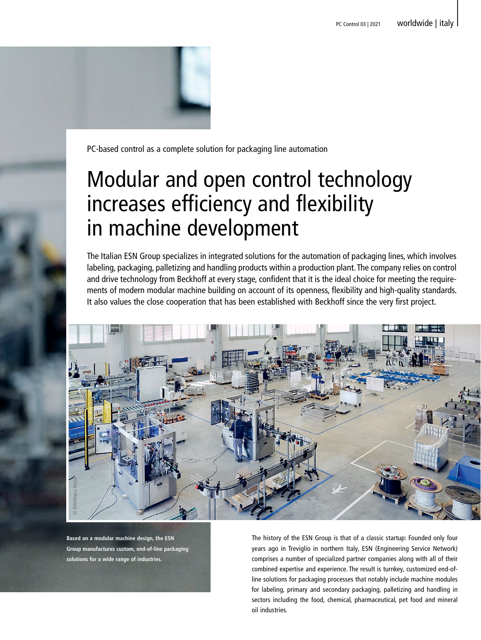

PC-based control as a complete solution for packaging line automation

# Modular and open control technology increases efficiency and flexibility in machine development

The Italian ESN Group specializes in integrated solutions for the automation of packaging lines, which involves labeling, packaging, palletizing and handling products within a production plant. The company relies on control and drive technology from Beckhoff at every stage, confident that it is the ideal choice for meeting the requirements of modern modular machine building on account of its openness, flexibility and high-quality standards. It also values the close cooperation that has been established with Beckhoff since the very first project.



**Based on a modular machine design, the ESN Group manufactures custom, end-of-line packaging**  The history of the ESN Group is that of a classic startup: Founded only four years ago in Treviglio in northern Italy, ESN (Engineering Service Network) comprises a number of specialized partner companies along with all of their combined expertise and experience. The result is turnkey, customized end-ofline solutions for packaging processes that notably include machine modules for labeling, primary and secondary packaging, palletizing and handling in sectors including the food, chemical, pharmaceutical, pet food and mineral oil industries.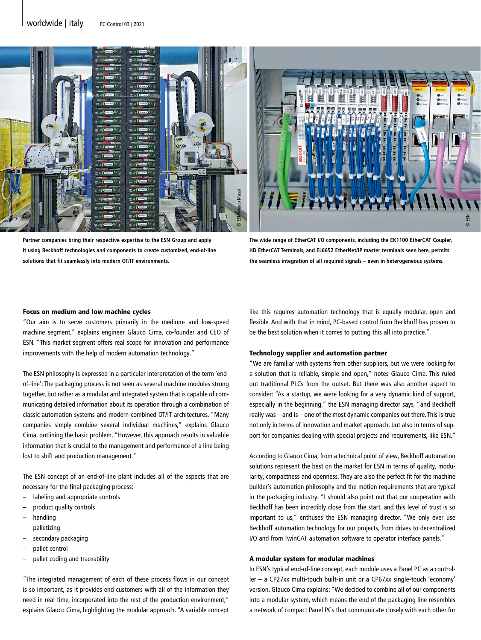

**Partner companies bring their respective expertise to the ESN Group and apply it using Beckhoff technologies and components to create customized, end-of-line solutions that fit seamlessly into modern OT/IT environments.**

**The wide range of EtherCAT I/O components, including the EK1100 EtherCAT Coupler, HD EtherCAT Terminals, and EL6652 EtherNet/IP master terminals seen here, permits the seamless integration of all required signals – even in heterogeneous systems.**

#### Focus on medium and low machine cycles

"Our aim is to serve customers primarily in the medium- and low-speed machine segment," explains engineer Glauco Cima, co-founder and CEO of ESN. "This market segment offers real scope for innovation and performance improvements with the help of modern automation technology."

The ESN philosophy is expressed in a particular interpretation of the term 'endof-line': The packaging process is not seen as several machine modules strung together, but rather as a modular and integrated system that is capable of communicating detailed information about its operation through a combination of classic automation systems and modern combined OT/IT architectures. "Many companies simply combine several individual machines," explains Glauco Cima, outlining the basic problem. "However, this approach results in valuable information that is crucial to the management and performance of a line being lost to shift and production management."

The ESN concept of an end-of-line plant includes all of the aspects that are necessary for the final packaging process:

- labeling and appropriate controls
- product quality controls
- handling
- palletizing
- secondary packaging
- pallet control
- pallet coding and traceability

"The integrated management of each of these process flows in our concept is so important, as it provides end customers with all of the information they need in real time, incorporated into the rest of the production environment," explains Glauco Cima, highlighting the modular approach. "A variable concept like this requires automation technology that is equally modular, open and flexible. And with that in mind, PC-based control from Beckhoff has proven to be the best solution when it comes to putting this all into practice."

#### Technology supplier and automation partner

"We are familiar with systems from other suppliers, but we were looking for a solution that is reliable, simple and open," notes Glauco Cima. This ruled out traditional PLCs from the outset. But there was also another aspect to consider: "As a startup, we were looking for a very dynamic kind of support, especially in the beginning," the ESN managing director says, "and Beckhoff really was – and is – one of the most dynamic companies out there. This is true not only in terms of innovation and market approach, but also in terms of support for companies dealing with special projects and requirements, like ESN."

According to Glauco Cima, from a technical point of view, Beckhoff automation solutions represent the best on the market for ESN in terms of quality, modularity, compactness and openness. They are also the perfect fit for the machine builder's automation philosophy and the motion requirements that are typical in the packaging industry. "I should also point out that our cooperation with Beckhoff has been incredibly close from the start, and this level of trust is so important to us," enthuses the ESN managing director. "We only ever use Beckhoff automation technology for our projects, from drives to decentralized I/O and from TwinCAT automation software to operator interface panels."

### A modular system for modular machines

In ESN's typical end-of-line concept, each module uses a Panel PC as a controller – a CP27xx multi-touch built-in unit or a CP67xx single-touch 'economy' version. Glauco Cima explains: "We decided to combine all of our components into a modular system, which means the end of the packaging line resembles a network of compact Panel PCs that communicate closely with each other for